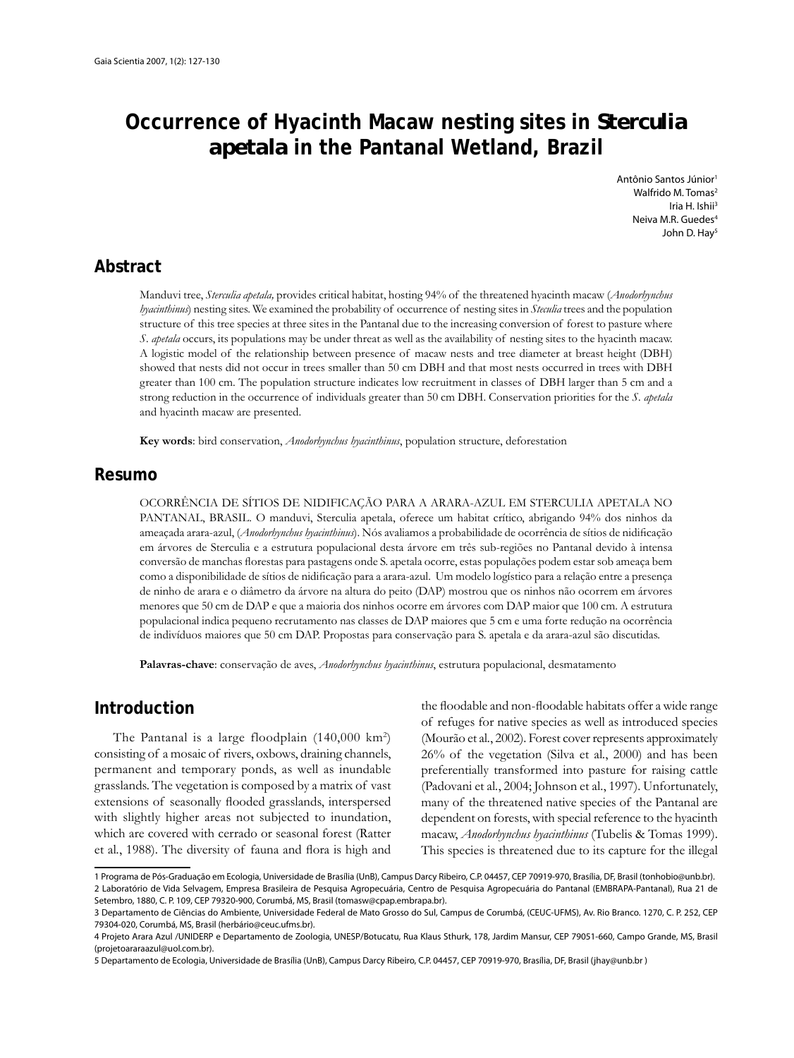# **Occurrence of Hyacinth Macaw nesting sites in** *Sterculia apetala* **in the Pantanal Wetland, Brazil**

Antônio Santos Júnior1 Walfrido M. Tomas<sup>2</sup> Iria H. Ishii<sup>3</sup> Neiva M.R. Guedes<sup>4</sup> John D. Hay<sup>5</sup>

## **Abstract**

Manduvi tree, *Sterculia apetala,* provides critical habitat, hosting 94% of the threatened hyacinth macaw (*Anodorhynchus hyacinthinus*) nesting sites. We examined the probability of occurrence of nesting sites in *Steculia* trees and the population structure of this tree species at three sites in the Pantanal due to the increasing conversion of forest to pasture where *S. apetala* occurs, its populations may be under threat as well as the availability of nesting sites to the hyacinth macaw. A logistic model of the relationship between presence of macaw nests and tree diameter at breast height (DBH) showed that nests did not occur in trees smaller than 50 cm DBH and that most nests occurred in trees with DBH greater than 100 cm. The population structure indicates low recruitment in classes of DBH larger than 5 cm and a strong reduction in the occurrence of individuals greater than 50 cm DBH. Conservation priorities for the *S. apetala* and hyacinth macaw are presented.

**Key words**: bird conservation, *Anodorhynchus hyacinthinus*, population structure, deforestation

#### **Resumo**

OCORRÊNCIA DE SÍTIOS DE NIDIFICAÇÃO PARA A ARARA-AZUL EM STERCULIA APETALA NO PANTANAL, BRASIL. O manduvi, Sterculia apetala, oferece um habitat crítico, abrigando 94% dos ninhos da ameaçada arara-azul, (*Anodorhynchus hyacinthinus*). Nós avaliamos a probabilidade de ocorrência de sítios de nidificação em árvores de Sterculia e a estrutura populacional desta árvore em três sub-regiões no Pantanal devido à intensa conversão de manchas florestas para pastagens onde S. apetala ocorre, estas populações podem estar sob ameaça bem como a disponibilidade de sítios de nidificação para a arara-azul. Um modelo logístico para a relação entre a presença de ninho de arara e o diâmetro da árvore na altura do peito (DAP) mostrou que os ninhos não ocorrem em árvores menores que 50 cm de DAP e que a maioria dos ninhos ocorre em árvores com DAP maior que 100 cm. A estrutura populacional indica pequeno recrutamento nas classes de DAP maiores que 5 cm e uma forte redução na ocorrência de indivíduos maiores que 50 cm DAP. Propostas para conservação para S. apetala e da arara-azul são discutidas.

**Palavras-chave**: conservação de aves, *Anodorhynchus hyacinthinus*, estrutura populacional, desmatamento

#### **Introduction**

The Pantanal is a large floodplain  $(140,000 \text{ km}^2)$ consisting of a mosaic of rivers, oxbows, draining channels, permanent and temporary ponds, as well as inundable grasslands. The vegetation is composed by a matrix of vast extensions of seasonally flooded grasslands, interspersed with slightly higher areas not subjected to inundation, which are covered with cerrado or seasonal forest (Ratter et al., 1988). The diversity of fauna and flora is high and

the floodable and non-floodable habitats offer a wide range of refuges for native species as well as introduced species (Mourão et al*.*, 2002). Forest cover represents approximately 26% of the vegetation (Silva et al*.*, 2000) and has been preferentially transformed into pasture for raising cattle (Padovani et al*.*, 2004; Johnson et al., 1997). Unfortunately, many of the threatened native species of the Pantanal are dependent on forests, with special reference to the hyacinth macaw, *Anodorhynchus hyacinthinus* (Tubelis & Tomas 1999). This species is threatened due to its capture for the illegal

<sup>1</sup> Programa de Pós-Graduação em Ecologia, Universidade de Brasília (UnB), Campus Darcy Ribeiro, C.P. 04457, CEP 70919-970, Brasília, DF, Brasil (tonhobio@unb.br). 2 Laboratório de Vida Selvagem, Empresa Brasileira de Pesquisa Agropecuária, Centro de Pesquisa Agropecuária do Pantanal (EMBRAPA-Pantanal), Rua 21 de Setembro, 1880, C. P. 109, CEP 79320-900, Corumbá, MS, Brasil (tomasw@cpap.embrapa.br).

<sup>3</sup> Departamento de Ciências do Ambiente, Universidade Federal de Mato Grosso do Sul, Campus de Corumbá, (CEUC-UFMS), Av. Rio Branco. 1270, C. P. 252, CEP 79304-020, Corumbá, MS, Brasil (herbário@ceuc.ufms.br).

<sup>4</sup> Projeto Arara Azul /UNIDERP e Departamento de Zoologia, UNESP/Botucatu, Rua Klaus Sthurk, 178, Jardim Mansur, CEP 79051-660, Campo Grande, MS, Brasil (projetoararaazul@uol.com.br).

<sup>5</sup> Departamento de Ecologia, Universidade de Brasília (UnB), Campus Darcy Ribeiro, C.P. 04457, CEP 70919-970, Brasília, DF, Brasil (jhay@unb.br )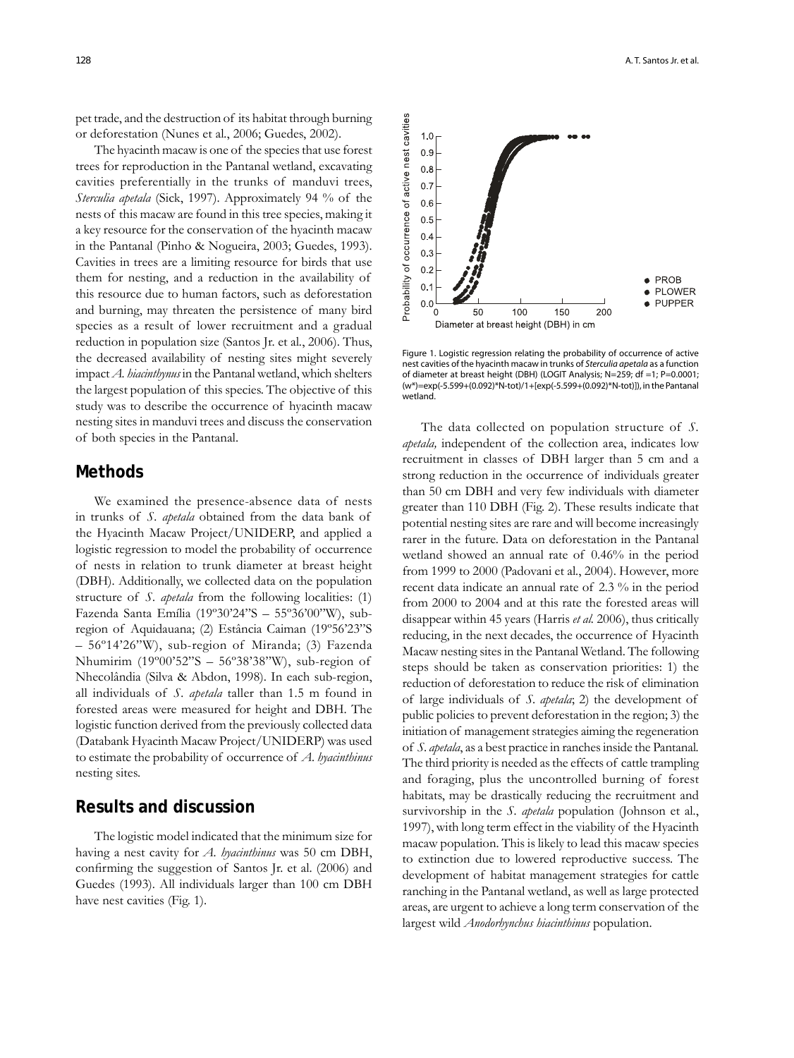pet trade, and the destruction of its habitat through burning or deforestation (Nunes et al*.*, 2006; Guedes, 2002).

The hyacinth macaw is one of the species that use forest trees for reproduction in the Pantanal wetland, excavating cavities preferentially in the trunks of manduvi trees, *Sterculia apetala* (Sick, 1997). Approximately 94 % of the nests of this macaw are found in this tree species, making it a key resource for the conservation of the hyacinth macaw in the Pantanal (Pinho & Nogueira, 2003; Guedes, 1993). Cavities in trees are a limiting resource for birds that use them for nesting, and a reduction in the availability of this resource due to human factors, such as deforestation and burning, may threaten the persistence of many bird species as a result of lower recruitment and a gradual reduction in population size (Santos Jr. et al*.*, 2006). Thus, the decreased availability of nesting sites might severely impact *A. hiacinthynus* in the Pantanal wetland, which shelters the largest population of this species. The objective of this study was to describe the occurrence of hyacinth macaw nesting sites in manduvi trees and discuss the conservation of both species in the Pantanal.

#### **Methods**

We examined the presence-absence data of nests in trunks of *S. apetala* obtained from the data bank of the Hyacinth Macaw Project/UNIDERP, and applied a logistic regression to model the probability of occurrence of nests in relation to trunk diameter at breast height (DBH). Additionally, we collected data on the population structure of *S. apetala* from the following localities: (1) Fazenda Santa Emília (19º30'24"S – 55º36'00"W), subregion of Aquidauana; (2) Estância Caiman (19º56'23"S – 56º14'26"W), sub-region of Miranda; (3) Fazenda Nhumirim (19º00'52"S – 56º38'38"W), sub-region of Nhecolândia (Silva & Abdon, 1998). In each sub-region, all individuals of *S. apetala* taller than 1.5 m found in forested areas were measured for height and DBH. The logistic function derived from the previously collected data (Databank Hyacinth Macaw Project/UNIDERP) was used to estimate the probability of occurrence of *A. hyacinthinus* nesting sites.

#### **Results and discussion**

The logistic model indicated that the minimum size for having a nest cavity for *A. hyacinthinus* was 50 cm DBH, confirming the suggestion of Santos Jr. et al.  $(2006)$  and Guedes (1993). All individuals larger than 100 cm DBH have nest cavities (Fig. 1).



Figure 1. Logistic regression relating the probability of occurrence of active nest cavities of the hyacinth macaw in trunks of Sterculia apetala as a function of diameter at breast height (DBH) (LOGIT Analysis; N=259; df =1; P=0.0001; (w\*)=exp(-5.599+(0.092)\*N-tot)/1+[exp(-5.599+(0.092)\*N-tot)]), in the Pantanal wetland.

The data collected on population structure of *S. apetala,* independent of the collection area, indicates low recruitment in classes of DBH larger than 5 cm and a strong reduction in the occurrence of individuals greater than 50 cm DBH and very few individuals with diameter greater than 110 DBH (Fig. 2). These results indicate that potential nesting sites are rare and will become increasingly rarer in the future. Data on deforestation in the Pantanal wetland showed an annual rate of 0.46% in the period from 1999 to 2000 (Padovani et al*.*, 2004). However, more recent data indicate an annual rate of 2.3 % in the period from 2000 to 2004 and at this rate the forested areas will disappear within 45 years (Harris *et al.* 2006), thus critically reducing, in the next decades, the occurrence of Hyacinth Macaw nesting sites in the Pantanal Wetland. The following steps should be taken as conservation priorities: 1) the reduction of deforestation to reduce the risk of elimination of large individuals of *S*. *apetala*; 2) the development of public policies to prevent deforestation in the region; 3) the initiation of management strategies aiming the regeneration of *S*. *apetala*, as a best practice in ranches inside the Pantanal*.* The third priority is needed as the effects of cattle trampling and foraging, plus the uncontrolled burning of forest habitats, may be drastically reducing the recruitment and survivorship in the *S. apetala* population (Johnson et al*.*, 1997), with long term effect in the viability of the Hyacinth macaw population. This is likely to lead this macaw species to extinction due to lowered reproductive success. The development of habitat management strategies for cattle ranching in the Pantanal wetland, as well as large protected areas, are urgent to achieve a long term conservation of the largest wild *Anodorhynchus hiacinthinus* population.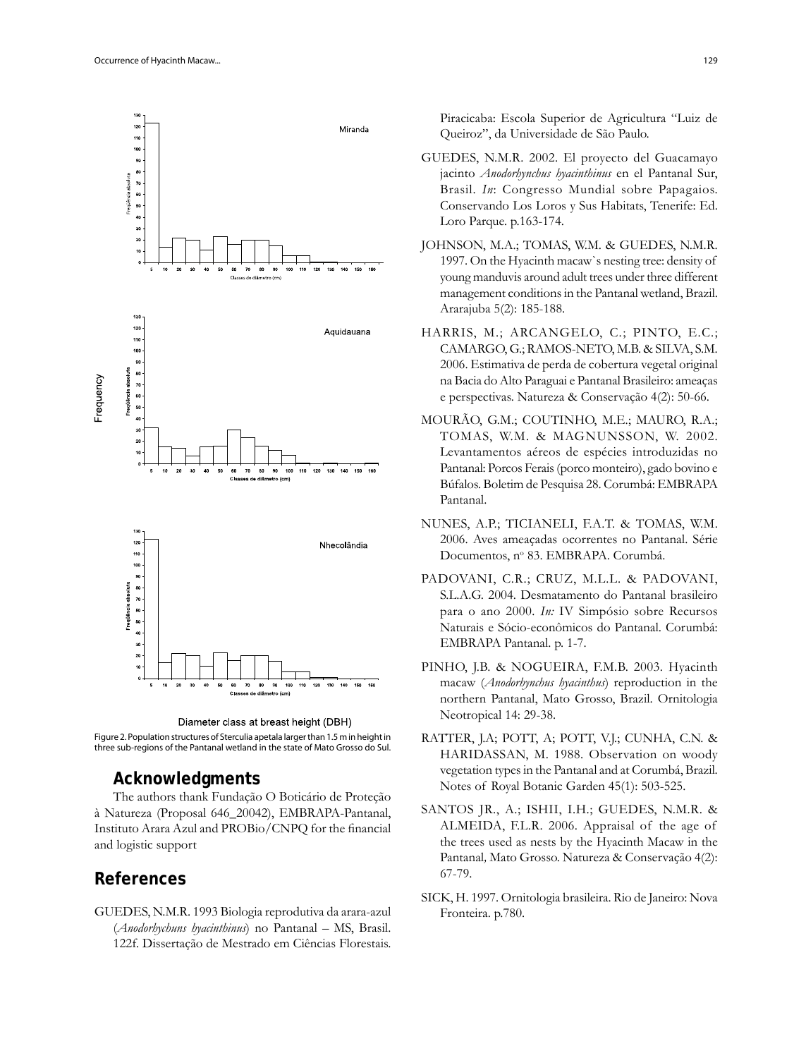



three sub-regions of the Pantanal wetland in the state of Mato Grosso do Sul.

### **Acknowledgments**

The authors thank Fundação O Boticário de Proteção à Natureza (Proposal 646\_20042), EMBRAPA-Pantanal, Instituto Arara Azul and PROBio/CNPQ for the financial and logistic support

## **References**

GUEDES, N.M.R. 1993 Biologia reprodutiva da arara-azul (*Anodorhychuns hyacinthinus*) no Pantanal – MS, Brasil. 122f. Dissertação de Mestrado em Ciências Florestais.

Piracicaba: Escola Superior de Agricultura "Luiz de Queiroz", da Universidade de São Paulo.

- GUEDES, N.M.R. 2002. El proyecto del Guacamayo jacinto *Anodorhynchus hyacinthinus* en el Pantanal Sur, Brasil. *In*: Congresso Mundial sobre Papagaios. Conservando Los Loros y Sus Habitats, Tenerife: Ed. Loro Parque. p.163-174.
- JOHNSON, M.A.; TOMAS, W.M. & GUEDES, N.M.R. 1997. On the Hyacinth macaw`s nesting tree: density of young manduvis around adult trees under three different management conditions in the Pantanal wetland, Brazil. Ararajuba 5(2): 185-188.
- HARRIS, M.; ARCANGELO, C.; PINTO, E.C.; CAMARGO, G.; RAMOS-NETO, M.B. & SILVA, S.M. 2006. Estimativa de perda de cobertura vegetal original na Bacia do Alto Paraguai e Pantanal Brasileiro: ameaças e perspectivas. Natureza & Conservação 4(2): 50-66.
- MOURÃO, G.M.; COUTINHO, M.E.; MAURO, R.A.; TOMAS, W.M. & MAGNUNSSON, W. 2002. Levantamentos aéreos de espécies introduzidas no Pantanal: Porcos Ferais (porco monteiro), gado bovino e Búfalos. Boletim de Pesquisa 28. Corumbá: EMBRAPA Pantanal.
- NUNES, A.P.; TICIANELI, F.A.T. & TOMAS, W.M. 2006. Aves ameaçadas ocorrentes no Pantanal. Série Documentos, nº 83. EMBRAPA. Corumbá.
- PADOVANI, C.R.; CRUZ, M.L.L. & PADOVANI, S.L.A.G. 2004. Desmatamento do Pantanal brasileiro para o ano 2000. *In:* IV Simpósio sobre Recursos Naturais e Sócio-econômicos do Pantanal. Corumbá: EMBRAPA Pantanal. p. 1-7.
- PINHO, J.B. & NOGUEIRA, F.M.B. 2003. Hyacinth macaw (*Anodorhynchus hyacinthus*) reproduction in the northern Pantanal, Mato Grosso, Brazil. Ornitologia Neotropical 14: 29-38.
- RATTER, J.A; POTT, A; POTT, V.J.; CUNHA, C.N. & HARIDASSAN, M. 1988. Observation on woody vegetation types in the Pantanal and at Corumbá, Brazil. Notes of Royal Botanic Garden 45(1): 503-525.
- SANTOS JR., A.; ISHII, I.H.; GUEDES, N.M.R. & ALMEIDA, F.L.R. 2006. Appraisal of the age of the trees used as nests by the Hyacinth Macaw in the Pantanal*,* Mato Grosso. Natureza & Conservação 4(2): 67-79.
- SICK, H. 1997. Ornitologia brasileira. Rio de Janeiro: Nova Fronteira. p.780.